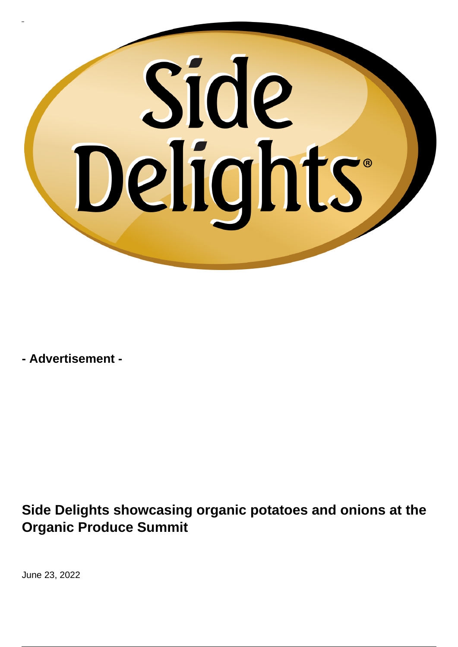## Side Delights

**- Advertisement -**

**Side Delights showcasing organic potatoes and onions at the Organic Produce Summit**

June 23, 2022